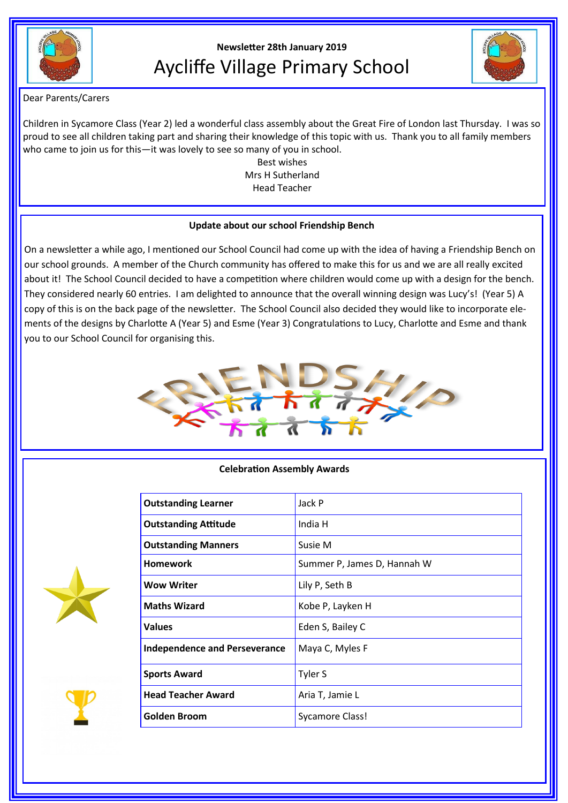

# **Newsletter 28th January 2019** Aycliffe Village Primary School



Dear Parents/Carers

Children in Sycamore Class (Year 2) led a wonderful class assembly about the Great Fire of London last Thursday. I was so proud to see all children taking part and sharing their knowledge of this topic with us. Thank you to all family members who came to join us for this—it was lovely to see so many of you in school.

Best wishes Mrs H Sutherland Head Teacher

#### **Update about our school Friendship Bench**

On a newsletter a while ago, I mentioned our School Council had come up with the idea of having a Friendship Bench on our school grounds. A member of the Church community has offered to make this for us and we are all really excited about it! The School Council decided to have a competition where children would come up with a design for the bench. They considered nearly 60 entries. I am delighted to announce that the overall winning design was Lucy's! (Year 5) A copy of this is on the back page of the newsletter. The School Council also decided they would like to incorporate elements of the designs by Charlotte A (Year 5) and Esme (Year 3) Congratulations to Lucy, Charlotte and Esme and thank you to our School Council for organising this.



### **Celebration Assembly Awards**

| <b>Outstanding Learner</b>           | Jack P                      |
|--------------------------------------|-----------------------------|
| <b>Outstanding Attitude</b>          | India H                     |
| <b>Outstanding Manners</b>           | Susie M                     |
| <b>Homework</b>                      | Summer P, James D, Hannah W |
| <b>Wow Writer</b>                    | Lily P, Seth B              |
| <b>Maths Wizard</b>                  | Kobe P, Layken H            |
| <b>Values</b>                        | Eden S, Bailey C            |
| <b>Independence and Perseverance</b> | Maya C, Myles F             |
| <b>Sports Award</b>                  | Tyler S                     |
| <b>Head Teacher Award</b>            | Aria T, Jamie L             |
| <b>Golden Broom</b>                  | <b>Sycamore Class!</b>      |



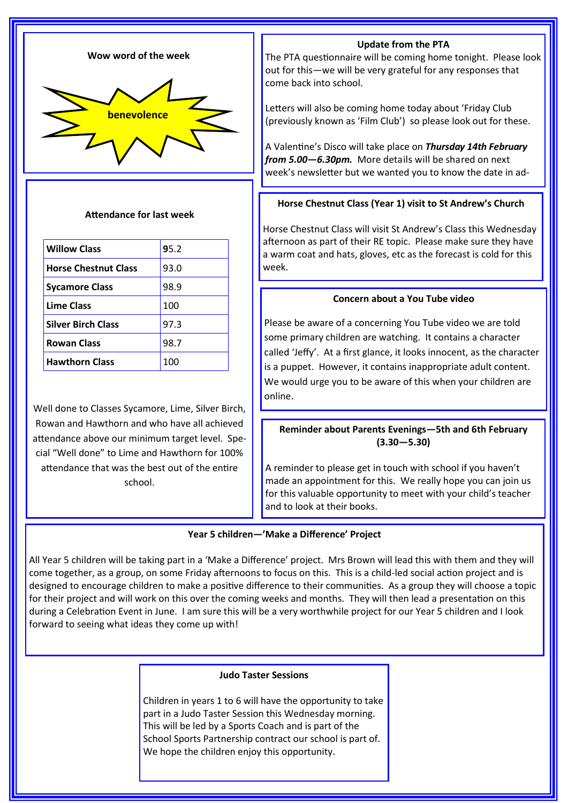

#### **Attendance for last week**

| <b>Willow Class</b>         | 95.2 |
|-----------------------------|------|
| <b>Horse Chestnut Class</b> | 93.0 |
| <b>Sycamore Class</b>       | 98.9 |
| Lime Class                  | 100  |
| <b>Silver Birch Class</b>   | 97.3 |
| <b>Rowan Class</b>          | 98.7 |
| <b>Hawthorn Class</b>       | 100  |

Well done to Classes Sycamore, Lime, Silver Birch, Rowan and Hawthorn and who have all achieved attendance above our minimum target level. Special "Well done" to Lime and Hawthorn for 100% attendance that was the best out of the entire school.

## **Update from the PTA**

The PTA questionnaire will be coming home tonight. Please look out for this—we will be very grateful for any responses that come back into school.

Letters will also be coming home today about 'Friday Club (previously known as 'Film Club') so please look out for these.

A Valentine's Disco will take place on *Thursday 14th February from 5.00—6.30pm.* More details will be shared on next week's newsletter but we wanted you to know the date in ad-

### **Horse Chestnut Class (Year 1) visit to St Andrew's Church**

Horse Chestnut Class will visit St Andrew's Class this Wednesday afternoon as part of their RE topic. Please make sure they have a warm coat and hats, gloves, etc as the forecast is cold for this week.

### **Concern about a You Tube video**

Please be aware of a concerning You Tube video we are told some primary children are watching. It contains a character called 'Jeffy'. At a first glance, it looks innocent, as the character is a puppet. However, it contains inappropriate adult content. We would urge you to be aware of this when your children are online.

**Reminder about Parents Evenings—5th and 6th February (3.30—5.30)**

A reminder to please get in touch with school if you haven't made an appointment for this. We really hope you can join us for this valuable opportunity to meet with your child's teacher and to look at their books.

#### **Year 5 children—'Make a Difference' Project**

All Year 5 children will be taking part in a 'Make a Difference' project. Mrs Brown will lead this with them and they will come together, as a group, on some Friday afternoons to focus on this. This is a child-led social action project and is designed to encourage children to make a positive difference to their communities. As a group they will choose a topic for their project and will work on this over the coming weeks and months. They will then lead a presentation on this during a Celebration Event in June. I am sure this will be a very worthwhile project for our Year 5 children and I look forward to seeing what ideas they come up with!

#### **Judo Taster Sessions**

Children in years 1 to 6 will have the opportunity to take part in a Judo Taster Session this Wednesday morning. This will be led by a Sports Coach and is part of the School Sports Partnership contract our school is part of. We hope the children enjoy this opportunity.